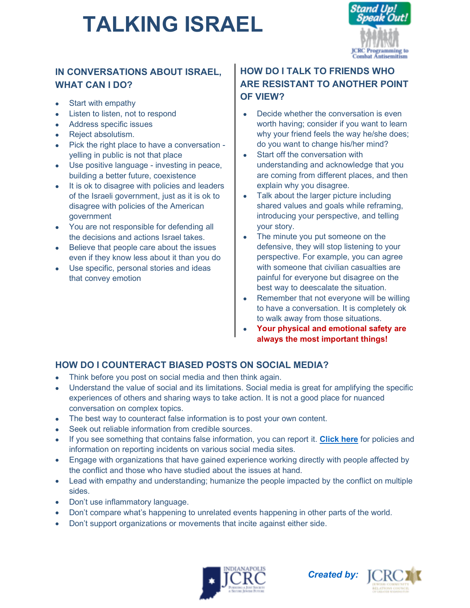# **TALKING ISRAEL**



### **IN CONVERSATIONS ABOUT ISRAEL, WHAT CAN I DO?**

- Start with empathy
- Listen to listen, not to respond
- Address specific issues
- Reject absolutism.
- Pick the right place to have a conversation yelling in public is not that place
- Use positive language investing in peace, building a better future, coexistence
- It is ok to disagree with policies and leaders of the Israeli government, just as it is ok to disagree with policies of the American government
- You are not responsible for defending all the decisions and actions Israel takes.
- Believe that people care about the issues even if they know less about it than you do
- Use specific, personal stories and ideas that convey emotion

## **HOW DO I TALK TO FRIENDS WHO ARE RESISTANT TO ANOTHER POINT OF VIEW?**

- Decide whether the conversation is even worth having; consider if you want to learn why your friend feels the way he/she does; do you want to change his/her mind?
- Start off the conversation with understanding and acknowledge that you are coming from different places, and then explain why you disagree.
- Talk about the larger picture including shared values and goals while reframing, introducing your perspective, and telling your story.
- The minute you put someone on the defensive, they will stop listening to your perspective. For example, you can agree with someone that civilian casualties are painful for everyone but disagree on the best way to deescalate the situation.
- Remember that not everyone will be willing to have a conversation. It is completely ok to walk away from those situations.
- **Your physical and emotional safety are always the most important things!**

## **HOW DO I COUNTERACT BIASED POSTS ON SOCIAL MEDIA?**

- Think before you post on social media and then think again.
- Understand the value of social and its limitations. Social media is great for amplifying the specific experiences of others and sharing ways to take action. It is not a good place for nuanced conversation on complex topics.
- The best way to counteract false information is to post your own content.
- Seek out reliable information from credible sources.
- If you see something that contains false information, you can report it. **[Click here](https://www.adl.org/adl-cyber-safety-action-guide)** for policies and information on reporting incidents on various social media sites.
- Engage with organizations that have gained experience working directly with people affected by the conflict and those who have studied about the issues at hand.
- Lead with empathy and understanding; humanize the people impacted by the conflict on multiple sides.
- Don't use inflammatory language.
- Don't compare what's happening to unrelated events happening in other parts of the world.
- Don't support organizations or movements that incite against either side.



*Created by:*  $\Gamma$ CR(